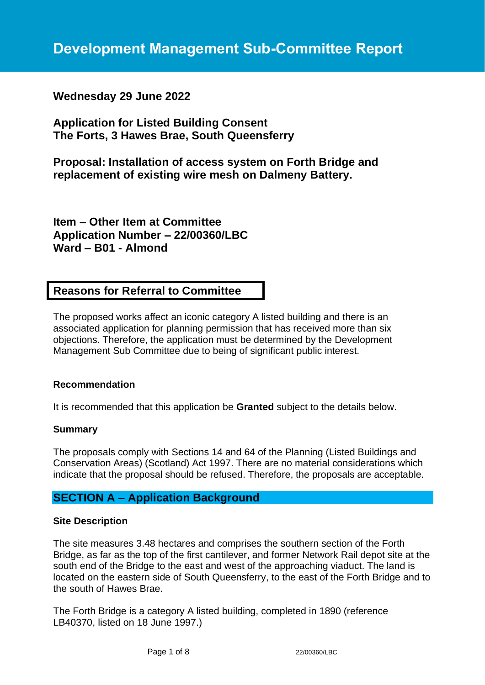# **Wednesday 29 June 2022**

**Application for Listed Building Consent The Forts, 3 Hawes Brae, South Queensferry**

**Proposal: Installation of access system on Forth Bridge and replacement of existing wire mesh on Dalmeny Battery.**

**Item – Other Item at Committee Application Number – 22/00360/LBC Ward – B01 - Almond**

# **Reasons for Referral to Committee**

The proposed works affect an iconic category A listed building and there is an associated application for planning permission that has received more than six objections. Therefore, the application must be determined by the Development Management Sub Committee due to being of significant public interest.

## **Recommendation**

It is recommended that this application be **Granted** subject to the details below.

#### **Summary**

The proposals comply with Sections 14 and 64 of the Planning (Listed Buildings and Conservation Areas) (Scotland) Act 1997. There are no material considerations which indicate that the proposal should be refused. Therefore, the proposals are acceptable.

# **SECTION A – Application Background**

#### **Site Description**

The site measures 3.48 hectares and comprises the southern section of the Forth Bridge, as far as the top of the first cantilever, and former Network Rail depot site at the south end of the Bridge to the east and west of the approaching viaduct. The land is located on the eastern side of South Queensferry, to the east of the Forth Bridge and to the south of Hawes Brae.

The Forth Bridge is a category A listed building, completed in 1890 (reference LB40370, listed on 18 June 1997.)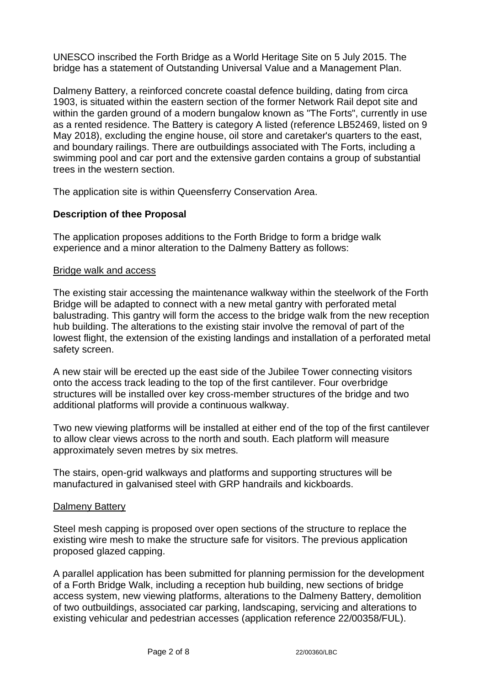UNESCO inscribed the Forth Bridge as a World Heritage Site on 5 July 2015. The bridge has a statement of Outstanding Universal Value and a Management Plan.

Dalmeny Battery, a reinforced concrete coastal defence building, dating from circa 1903, is situated within the eastern section of the former Network Rail depot site and within the garden ground of a modern bungalow known as "The Forts", currently in use as a rented residence. The Battery is category A listed (reference LB52469, listed on 9 May 2018), excluding the engine house, oil store and caretaker's quarters to the east, and boundary railings. There are outbuildings associated with The Forts, including a swimming pool and car port and the extensive garden contains a group of substantial trees in the western section.

The application site is within Queensferry Conservation Area.

## **Description of thee Proposal**

The application proposes additions to the Forth Bridge to form a bridge walk experience and a minor alteration to the Dalmeny Battery as follows:

#### Bridge walk and access

The existing stair accessing the maintenance walkway within the steelwork of the Forth Bridge will be adapted to connect with a new metal gantry with perforated metal balustrading. This gantry will form the access to the bridge walk from the new reception hub building. The alterations to the existing stair involve the removal of part of the lowest flight, the extension of the existing landings and installation of a perforated metal safety screen.

A new stair will be erected up the east side of the Jubilee Tower connecting visitors onto the access track leading to the top of the first cantilever. Four overbridge structures will be installed over key cross-member structures of the bridge and two additional platforms will provide a continuous walkway.

Two new viewing platforms will be installed at either end of the top of the first cantilever to allow clear views across to the north and south. Each platform will measure approximately seven metres by six metres.

The stairs, open-grid walkways and platforms and supporting structures will be manufactured in galvanised steel with GRP handrails and kickboards.

#### Dalmeny Battery

Steel mesh capping is proposed over open sections of the structure to replace the existing wire mesh to make the structure safe for visitors. The previous application proposed glazed capping.

A parallel application has been submitted for planning permission for the development of a Forth Bridge Walk, including a reception hub building, new sections of bridge access system, new viewing platforms, alterations to the Dalmeny Battery, demolition of two outbuildings, associated car parking, landscaping, servicing and alterations to existing vehicular and pedestrian accesses (application reference 22/00358/FUL).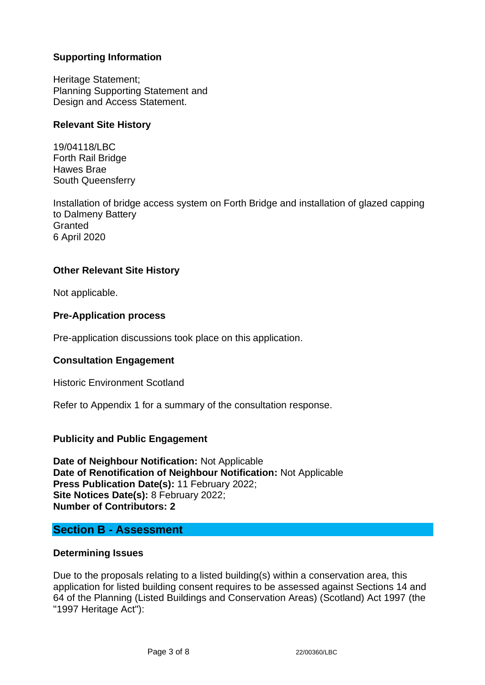# **Supporting Information**

Heritage Statement; Planning Supporting Statement and Design and Access Statement.

## **Relevant Site History**

19/04118/LBC Forth Rail Bridge Hawes Brae South Queensferry

Installation of bridge access system on Forth Bridge and installation of glazed capping to Dalmeny Battery **Granted** 6 April 2020

## **Other Relevant Site History**

Not applicable.

## **Pre-Application process**

Pre-application discussions took place on this application.

## **Consultation Engagement**

Historic Environment Scotland

Refer to Appendix 1 for a summary of the consultation response.

## **Publicity and Public Engagement**

**Date of Neighbour Notification:** Not Applicable **Date of Renotification of Neighbour Notification:** Not Applicable **Press Publication Date(s):** 11 February 2022; **Site Notices Date(s):** 8 February 2022; **Number of Contributors: 2**

## **Section B - Assessment**

## **Determining Issues**

Due to the proposals relating to a listed building(s) within a conservation area, this application for listed building consent requires to be assessed against Sections 14 and 64 of the Planning (Listed Buildings and Conservation Areas) (Scotland) Act 1997 (the "1997 Heritage Act"):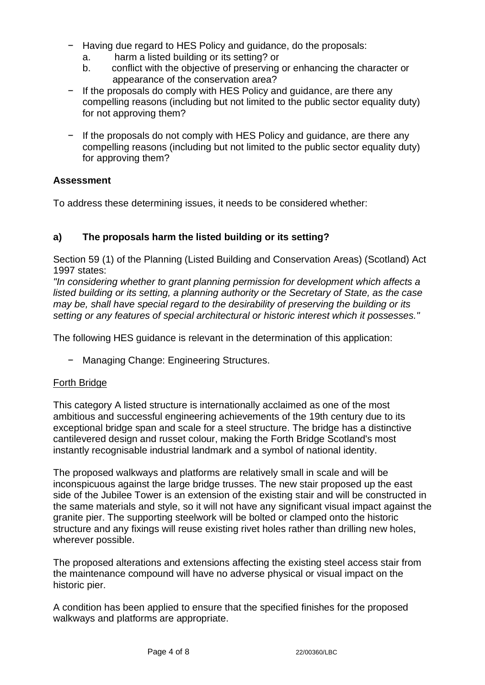- − Having due regard to HES Policy and guidance, do the proposals:
	- a. harm a listed building or its setting? or
	- b. conflict with the objective of preserving or enhancing the character or appearance of the conservation area?
- − If the proposals do comply with HES Policy and guidance, are there any compelling reasons (including but not limited to the public sector equality duty) for not approving them?
- − If the proposals do not comply with HES Policy and guidance, are there any compelling reasons (including but not limited to the public sector equality duty) for approving them?

## **Assessment**

To address these determining issues, it needs to be considered whether:

# **a) The proposals harm the listed building or its setting?**

Section 59 (1) of the Planning (Listed Building and Conservation Areas) (Scotland) Act 1997 states:

*"In considering whether to grant planning permission for development which affects a listed building or its setting, a planning authority or the Secretary of State, as the case may be, shall have special regard to the desirability of preserving the building or its setting or any features of special architectural or historic interest which it possesses."*

The following HES guidance is relevant in the determination of this application:

− Managing Change: Engineering Structures.

## Forth Bridge

This category A listed structure is internationally acclaimed as one of the most ambitious and successful engineering achievements of the 19th century due to its exceptional bridge span and scale for a steel structure. The bridge has a distinctive cantilevered design and russet colour, making the Forth Bridge Scotland's most instantly recognisable industrial landmark and a symbol of national identity.

The proposed walkways and platforms are relatively small in scale and will be inconspicuous against the large bridge trusses. The new stair proposed up the east side of the Jubilee Tower is an extension of the existing stair and will be constructed in the same materials and style, so it will not have any significant visual impact against the granite pier. The supporting steelwork will be bolted or clamped onto the historic structure and any fixings will reuse existing rivet holes rather than drilling new holes, wherever possible.

The proposed alterations and extensions affecting the existing steel access stair from the maintenance compound will have no adverse physical or visual impact on the historic pier.

A condition has been applied to ensure that the specified finishes for the proposed walkways and platforms are appropriate.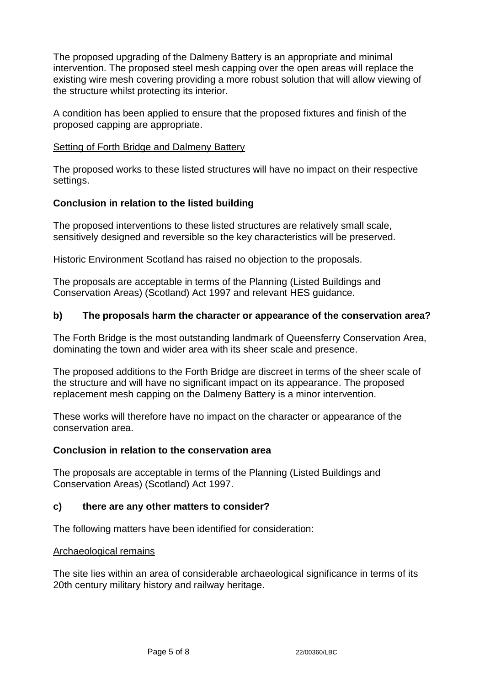The proposed upgrading of the Dalmeny Battery is an appropriate and minimal intervention. The proposed steel mesh capping over the open areas will replace the existing wire mesh covering providing a more robust solution that will allow viewing of the structure whilst protecting its interior.

A condition has been applied to ensure that the proposed fixtures and finish of the proposed capping are appropriate.

#### Setting of Forth Bridge and Dalmeny Battery

The proposed works to these listed structures will have no impact on their respective settings.

## **Conclusion in relation to the listed building**

The proposed interventions to these listed structures are relatively small scale, sensitively designed and reversible so the key characteristics will be preserved.

Historic Environment Scotland has raised no objection to the proposals.

The proposals are acceptable in terms of the Planning (Listed Buildings and Conservation Areas) (Scotland) Act 1997 and relevant HES guidance.

## **b) The proposals harm the character or appearance of the conservation area?**

The Forth Bridge is the most outstanding landmark of Queensferry Conservation Area, dominating the town and wider area with its sheer scale and presence.

The proposed additions to the Forth Bridge are discreet in terms of the sheer scale of the structure and will have no significant impact on its appearance. The proposed replacement mesh capping on the Dalmeny Battery is a minor intervention.

These works will therefore have no impact on the character or appearance of the conservation area.

## **Conclusion in relation to the conservation area**

The proposals are acceptable in terms of the Planning (Listed Buildings and Conservation Areas) (Scotland) Act 1997.

## **c) there are any other matters to consider?**

The following matters have been identified for consideration:

#### Archaeological remains

The site lies within an area of considerable archaeological significance in terms of its 20th century military history and railway heritage.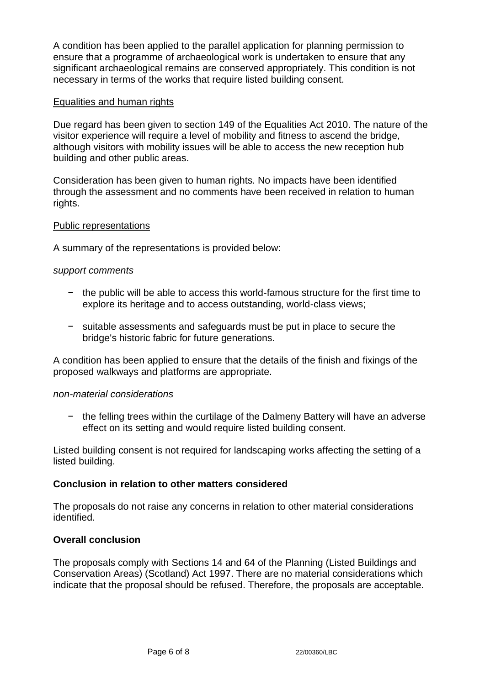A condition has been applied to the parallel application for planning permission to ensure that a programme of archaeological work is undertaken to ensure that any significant archaeological remains are conserved appropriately. This condition is not necessary in terms of the works that require listed building consent.

#### Equalities and human rights

Due regard has been given to section 149 of the Equalities Act 2010. The nature of the visitor experience will require a level of mobility and fitness to ascend the bridge, although visitors with mobility issues will be able to access the new reception hub building and other public areas.

Consideration has been given to human rights. No impacts have been identified through the assessment and no comments have been received in relation to human rights.

#### Public representations

A summary of the representations is provided below:

#### *support comments*

- − the public will be able to access this world-famous structure for the first time to explore its heritage and to access outstanding, world-class views;
- − suitable assessments and safeguards must be put in place to secure the bridge's historic fabric for future generations.

A condition has been applied to ensure that the details of the finish and fixings of the proposed walkways and platforms are appropriate.

#### *non-material considerations*

− the felling trees within the curtilage of the Dalmeny Battery will have an adverse effect on its setting and would require listed building consent.

Listed building consent is not required for landscaping works affecting the setting of a listed building.

## **Conclusion in relation to other matters considered**

The proposals do not raise any concerns in relation to other material considerations identified.

## **Overall conclusion**

The proposals comply with Sections 14 and 64 of the Planning (Listed Buildings and Conservation Areas) (Scotland) Act 1997. There are no material considerations which indicate that the proposal should be refused. Therefore, the proposals are acceptable.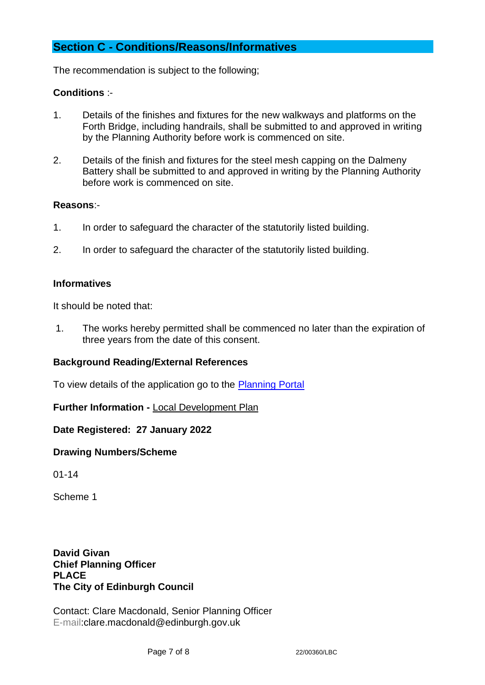# **Section C - Conditions/Reasons/Informatives**

The recommendation is subject to the following;

## **Conditions** :-

- 1. Details of the finishes and fixtures for the new walkways and platforms on the Forth Bridge, including handrails, shall be submitted to and approved in writing by the Planning Authority before work is commenced on site.
- 2. Details of the finish and fixtures for the steel mesh capping on the Dalmeny Battery shall be submitted to and approved in writing by the Planning Authority before work is commenced on site.

#### **Reasons**:-

- 1. In order to safeguard the character of the statutorily listed building.
- 2. In order to safeguard the character of the statutorily listed building.

## **Informatives**

It should be noted that:

1. The works hereby permitted shall be commenced no later than the expiration of three years from the date of this consent.

## **Background Reading/External References**

To view details of the application go to the [Planning Portal](https://citydev-portal.edinburgh.gov.uk/idoxpa-web/applicationDetails.do?activeTab=summary&keyVal=R6DHVXEWMY600)

**Further Information -** [Local Development Plan](https://www.edinburgh.gov.uk/local-development-plan-guidance-1/edinburgh-local-development-plan/1)

**Date Registered: 27 January 2022**

## **Drawing Numbers/Scheme**

01-14

Scheme 1

**David Givan Chief Planning Officer PLACE The City of Edinburgh Council**

Contact: Clare Macdonald, Senior Planning Officer E-mail:clare.macdonald@edinburgh.gov.uk